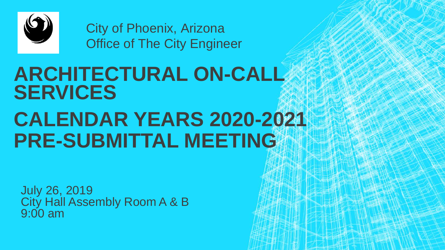

City of Phoenix, Arizona **Office of The City Engineer** 

# **ARCHITECTURAL ON-CALL SERVICES CALENDAR YEARS 2020-2021 PRE-SUBMITTAL MEETING**

July 26, 2019 City Hall Assembly Room A & B 9:00 am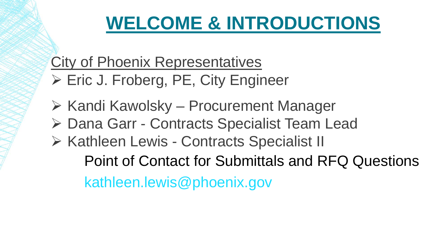### **WELCOME & INTRODUCTIONS**

### **City of Phoenix Representatives**

- Eric J. Froberg, PE, City Engineer
- ▶ Kandi Kawolsky Procurement Manager
- Dana Garr Contracts Specialist Team Lead
- Kathleen Lewis Contracts Specialist II

Point of Contact for Submittals and RFQ Questions

kathleen.lewis@phoenix.gov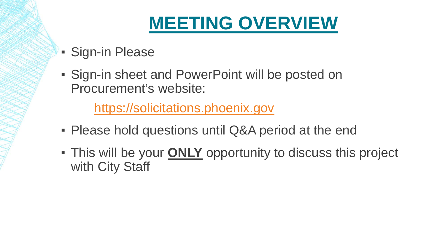### **MEETING OVERVIEW**

- **Sign-in Please**
- **Sign-in sheet and PowerPoint will be posted on** Procurement's website:

[https://solicitations.phoenix.gov](https://solicitations.phoenix.gov/)

- **Please hold questions until Q&A period at the end**
- **This will be your ONLY opportunity to discuss this project** with City Staff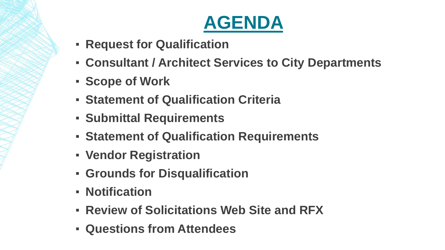

- **Request for Qualification**
- **Consultant / Architect Services to City Departments**
- **Scope of Work**
- **Statement of Qualification Criteria**
- **Submittal Requirements**
- **Statement of Qualification Requirements**
- **Vendor Registration**
- **Grounds for Disqualification**
- **Notification**
- **Review of Solicitations Web Site and RFX**
- **Questions from Attendees**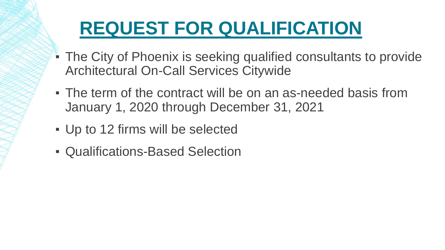# **REQUEST FOR QUALIFICATION**

- The City of Phoenix is seeking qualified consultants to provide Architectural On-Call Services Citywide
- The term of the contract will be on an as-needed basis from January 1, 2020 through December 31, 2021
- Up to 12 firms will be selected
- Qualifications-Based Selection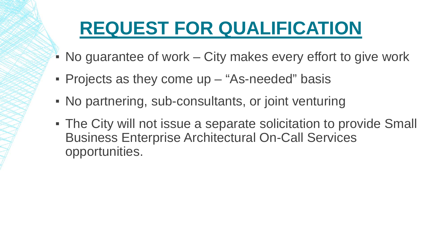### **REQUEST FOR QUALIFICATION**

- $\blacksquare$  No guarantee of work City makes every effort to give work
- Projects as they come up "As-needed" basis
- No partnering, sub-consultants, or joint venturing
- The City will not issue a separate solicitation to provide Small Business Enterprise Architectural On-Call Services opportunities.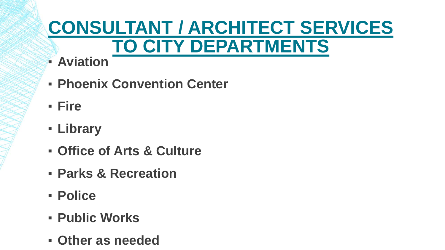### **CONSULTANT / ARCHITECT SERVICES TO CITY DEPARTMENTS**

- **Aviation**
- **Phoenix Convention Center**
- **Fire**
- **Library**
- **Office of Arts & Culture**
- **Parks & Recreation**
- **Police**
- **Public Works**
- **Other as needed**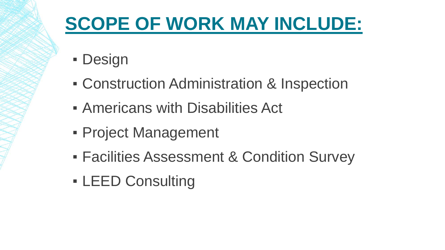## **SCOPE OF WORK MAY INCLUDE:**

- Design
- **Construction Administration & Inspection**
- **EXAMERICANS with Disabilities Act.**
- **Project Management**
- **Eacilities Assessment & Condition Survey**
- **LEED Consulting**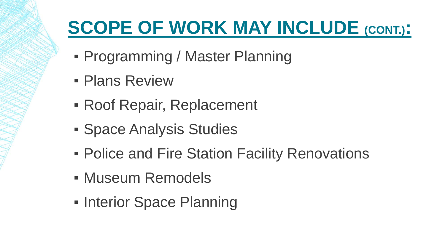# **SCOPE OF WORK MAY INCLUDE (CONT.):**

- Programming / Master Planning
- **Plans Review**
- **Roof Repair, Replacement**
- **Space Analysis Studies**
- **Police and Fire Station Facility Renovations**
- Museum Remodels
- **Interior Space Planning**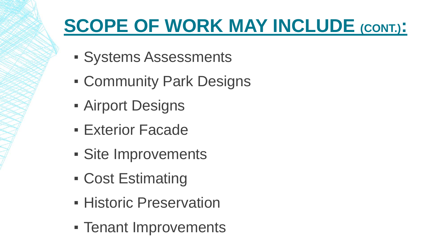# **SCOPE OF WORK MAY INCLUDE (CONT.):**

- Systems Assessments
- **Community Park Designs**
- **Example 1 Airport Designs**
- **Exterior Facade**
- Site Improvements
- Cost Estimating
- **Historic Preservation**
- Tenant Improvements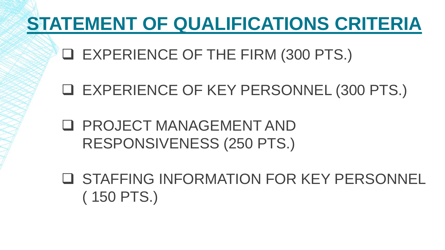# **STATEMENT OF QUALIFICATIONS CRITERIA**

EXPERIENCE OF THE FIRM (300 PTS.)

EXPERIENCE OF KEY PERSONNEL (300 PTS.)

 PROJECT MANAGEMENT AND RESPONSIVENESS (250 PTS.)

 STAFFING INFORMATION FOR KEY PERSONNEL ( 150 PTS.)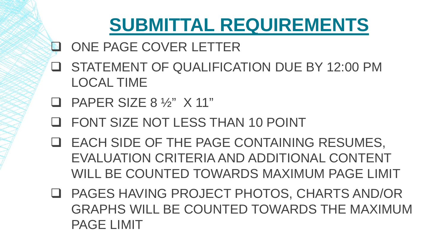### **SUBMITTAL REQUIREMENTS**

- ONE PAGE COVER LETTER
- STATEMENT OF QUALIFICATION DUE BY 12:00 PM LOCAL TIME
- $\Box$  PAPER SIZE 8  $\frac{1}{2}$  X 11"
- FONT SIZE NOT LESS THAN 10 POINT
- EACH SIDE OF THE PAGE CONTAINING RESUMES, EVALUATION CRITERIA AND ADDITIONAL CONTENT WILL BE COUNTED TOWARDS MAXIMUM PAGE LIMIT
- PAGES HAVING PROJECT PHOTOS, CHARTS AND/OR GRAPHS WILL BE COUNTED TOWARDS THE MAXIMUM PAGE LIMIT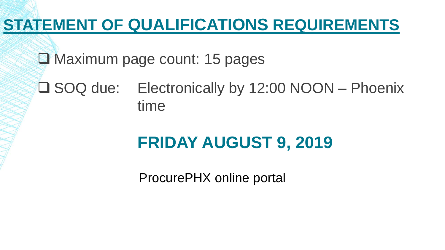**E** Maximum page count: 15 pages

#### SOQ due: Electronically by 12:00 NOON – Phoenix time

### **FRIDAY AUGUST 9, 2019**

ProcurePHX online portal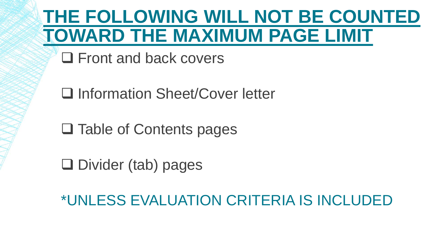### **THE FOLLOWING WILL NOT BE COUNTED TOWARD THE MAXIMUM PAGE LIMIT**

□ Front and back covers

□ Information Sheet/Cover letter

**□ Table of Contents pages** 

 $\square$  Divider (tab) pages

\*UNLESS EVALUATION CRITERIA IS INCLUDED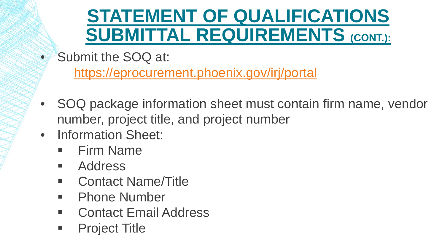### **STATEMENT OF QUALIFICATIONS SUBMITTAL REQUIREMENTS (CONT.):**

• Submit the SOQ at:

<https://eprocurement.phoenix.gov/irj/portal>

- SOQ package information sheet must contain firm name, vendor number, project title, and project number
- Information Sheet:
	- **Firm Name**
	- **Address**
	- **EXECONTER CONTACT CONTREP CONTREP CONTREP CONTREP CONTREP CONTREP CONTREP CONTREP CONTREP CONTREP CONTREP CONTREP CONTREP CONTREP CONTREP CONTREP CONTREP CONTREP CONTREP CONTREP CONTREP CONTREP CONTREP CONTREP CONTREP CON**
	- **Phone Number**
	- Contact Email Address
	- **Project Title**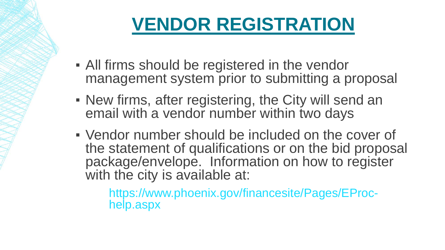# **VENDOR REGISTRATION**

- **All firms should be registered in the vendor** management system prior to submitting a proposal
- New firms, after registering, the City will send an email with a vendor number within two days
- Vendor number should be included on the cover of the statement of qualifications or on the bid proposal package/envelope. Information on how to register with the city is available at:

https://www.phoenix.gov/financesite/Pages/EProc- help.aspx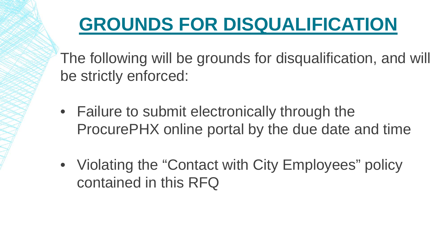# **GROUNDS FOR DISQUALIFICATION**

The following will be grounds for disqualification, and will be strictly enforced:

- Failure to submit electronically through the ProcurePHX online portal by the due date and time
- Violating the "Contact with City Employees" policy contained in this RFQ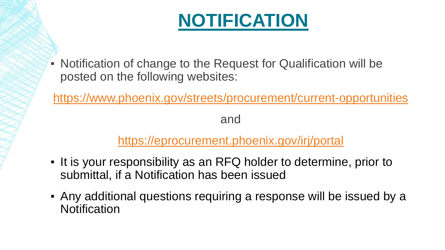# **NOTIFICATION**

▪ Notification of change to the Request for Qualification will be posted on the following websites:

<https://www.phoenix.gov/streets/procurement/current-opportunities>

and

#### <https://eprocurement.phoenix.gov/irj/portal>

- It is your responsibility as an RFQ holder to determine, prior to submittal, if a Notification has been issued
- Any additional questions requiring a response will be issued by a **Notification**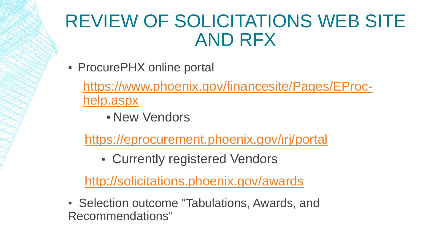### REVIEW OF SOLICITATIONS WEB SITE AND RFX

**• ProcurePHX online portal** 

[https://www.phoenix.gov/financesite/Pages/EProc](https://www.phoenix.gov/financesite/Pages/EProc-help.aspx)help.aspx

**- New Vendors** 

<https://eprocurement.phoenix.gov/irj/portal>

▪ Currently registered Vendors

<http://solicitations.phoenix.gov/awards>

**EXECTE IS Selection outcome "Tabulations, Awards, and** Recommendations"